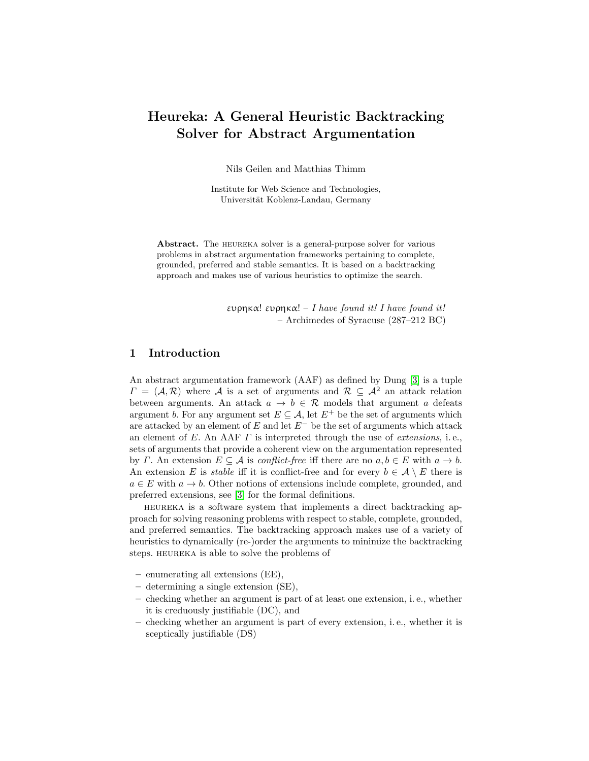# Heureka: A General Heuristic Backtracking Solver for Abstract Argumentation

Nils Geilen and Matthias Thimm

Institute for Web Science and Technologies, Universität Koblenz-Landau, Germany

Abstract. The HEUREKA solver is a general-purpose solver for various problems in abstract argumentation frameworks pertaining to complete, grounded, preferred and stable semantics. It is based on a backtracking approach and makes use of various heuristics to optimize the search.

> ευρηκα! ευρηκα! – I have found it! I have found it! – Archimedes of Syracuse (287–212 BC)

# 1 Introduction

An abstract argumentation framework (AAF) as defined by Dung [\[3\]](#page-6-0) is a tuple  $\Gamma = (\mathcal{A}, \mathcal{R})$  where A is a set of arguments and  $\mathcal{R} \subseteq \mathcal{A}^2$  an attack relation between arguments. An attack  $a \to b \in \mathcal{R}$  models that argument a defeats argument b. For any argument set  $E \subseteq A$ , let  $E^+$  be the set of arguments which are attacked by an element of  $E$  and let  $E^-$  be the set of arguments which attack an element of E. An AAF  $\Gamma$  is interpreted through the use of *extensions*, i.e., sets of arguments that provide a coherent view on the argumentation represented by Γ. An extension  $E \subseteq \mathcal{A}$  is *conflict-free* iff there are no  $a, b \in E$  with  $a \to b$ . An extension E is *stable* iff it is conflict-free and for every  $b \in \mathcal{A} \setminus E$  there is  $a \in E$  with  $a \to b$ . Other notions of extensions include complete, grounded, and preferred extensions, see [\[3\]](#page-6-0) for the formal definitions.

heureka is a software system that implements a direct backtracking approach for solving reasoning problems with respect to stable, complete, grounded, and preferred semantics. The backtracking approach makes use of a variety of heuristics to dynamically (re-)order the arguments to minimize the backtracking steps. HEUREKA is able to solve the problems of

- enumerating all extensions (EE),
- determining a single extension (SE),
- checking whether an argument is part of at least one extension, i. e., whether it is creduously justifiable (DC), and
- checking whether an argument is part of every extension, i. e., whether it is sceptically justifiable (DS)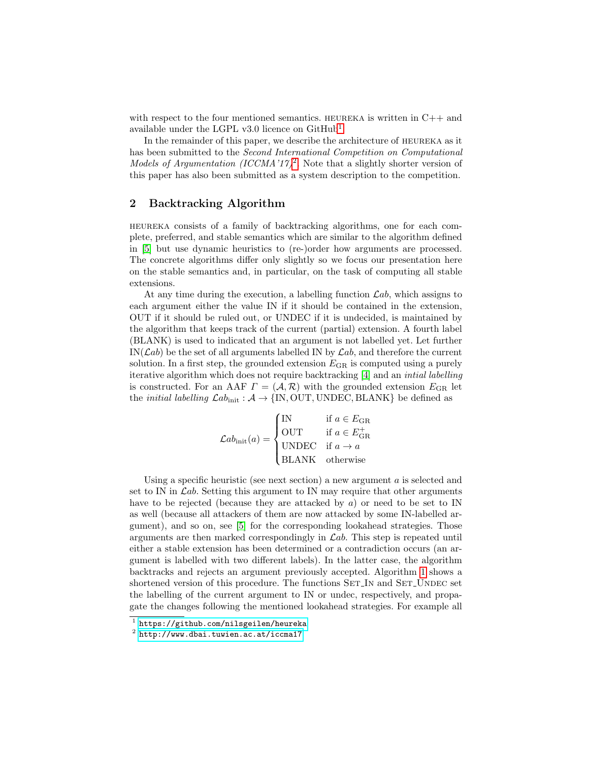with respect to the four mentioned semantics. HEUREKA is written in  $C++$  and available under the LGPL v3.0 licence on  $\text{GitHub}^1$  $\text{GitHub}^1$ .

In the remainder of this paper, we describe the architecture of heureka as it has been submitted to the Second International Competition on Computational Models of Argumentation (ICCMA'17)<sup>[2](#page-1-1)</sup>. Note that a slightly shorter version of this paper has also been submitted as a system description to the competition.

# 2 Backtracking Algorithm

heureka consists of a family of backtracking algorithms, one for each complete, preferred, and stable semantics which are similar to the algorithm defined in [\[5\]](#page-6-1) but use dynamic heuristics to (re-)order how arguments are processed. The concrete algorithms differ only slightly so we focus our presentation here on the stable semantics and, in particular, on the task of computing all stable extensions.

At any time during the execution, a labelling function  $\mathcal{L}ab$ , which assigns to each argument either the value IN if it should be contained in the extension, OUT if it should be ruled out, or UNDEC if it is undecided, is maintained by the algorithm that keeps track of the current (partial) extension. A fourth label (BLANK) is used to indicated that an argument is not labelled yet. Let further  $IN(\mathcal{L}ab)$  be the set of all arguments labelled IN by  $\mathcal{L}ab$ , and therefore the current solution. In a first step, the grounded extension  $E_{\text{GR}}$  is computed using a purely iterative algorithm which does not require backtracking [\[4\]](#page-6-2) and an intial labelling is constructed. For an AAF  $\Gamma = (\mathcal{A}, \mathcal{R})$  with the grounded extension  $E_{\text{GR}}$  let the *initial labelling*  $\mathcal{L}\text{ab}_{init} : \mathcal{A} \rightarrow \{IN, OUT, UNDEC, BLANK\}$  be defined as

$$
\mathcal{L}ab_{\text{init}}(a) = \begin{cases} \text{IN} & \text{if } a \in E_{\text{GR}} \\ \text{OUT} & \text{if } a \in E_{\text{GR}}^+ \\ \text{UNDEC} & \text{if } a \to a \\ \text{BLANK} & \text{otherwise} \end{cases}
$$

Using a specific heuristic (see next section) a new argument  $a$  is selected and set to IN in  $\mathcal{L}ab$ . Setting this argument to IN may require that other arguments have to be rejected (because they are attacked by  $a$ ) or need to be set to IN as well (because all attackers of them are now attacked by some IN-labelled argument), and so on, see [\[5\]](#page-6-1) for the corresponding lookahead strategies. Those arguments are then marked correspondingly in  $\mathcal{L}ab$ . This step is repeated until either a stable extension has been determined or a contradiction occurs (an argument is labelled with two different labels). In the latter case, the algorithm backtracks and rejects an argument previously accepted. Algorithm [1](#page-2-0) shows a shortened version of this procedure. The functions SET\_IN and SET\_UNDEC set the labelling of the current argument to IN or undec, respectively, and propagate the changes following the mentioned lookahead strategies. For example all

<span id="page-1-0"></span><sup>1</sup> <https://github.com/nilsgeilen/heureka>

<span id="page-1-1"></span> $^2$  <http://www.dbai.tuwien.ac.at/iccma17>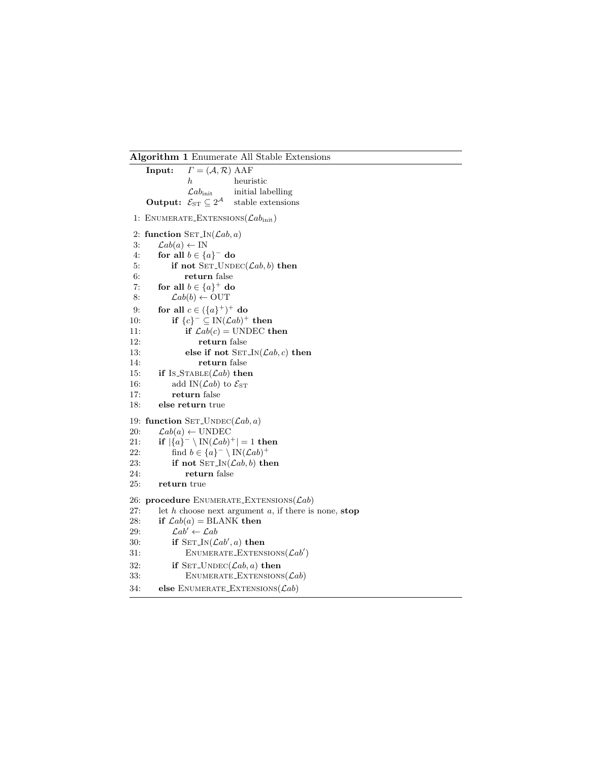#### <span id="page-2-0"></span>Algorithm 1 Enumerate All Stable Extensions

```
Input: \Gamma = (\mathcal{A}, \mathcal{R}) AAF
                 h heuristic
                 \mathcal{L}ab_\text{init} initial labelling
     Output: \mathcal{E}_{ST} \subseteq 2^{\mathcal{A}}stable extensions
 1: ENUMERATE_EXTENSIONS(\mathcal{L}ab_{\text{init}})2: function \text{SET} \text{IN}(\text{Lab}, a)3: \mathcal{L}ab(a) \leftarrow \text{IN}4: for all b \in \{a\}^- do
 5: if not SET\_UNDEC(\mathcal{L}ab, b) then
 6: return false
 7: for all b \in \{a\}^+ do
 8: \mathcal{L}ab(b) \leftarrow \text{OUT}9: for all c \in (\{a\}^+)^+ do
10: if \{c\}^- \subseteq IN(\mathcal{L}ab)^+ then
11: if \mathcal{L}ab(c) = \text{UNDEC} then
12: return false
13: else if not \text{SET} \text{IN}(\text{Lab}, c) then
14: return false
15: if Is\_STATE(\mathcal{L}ab) then
16: add IN(\mathcal{L}ab) to \mathcal{E}_{ST}17: return false
18: else return true
19: function SET_UNDEC(\mathcal{L}ab, a)
20: \mathcal{L}ab(a) \leftarrow \text{UNDEC}21: if |\{a\}^- \setminus IN(\mathcal{L}ab)^+| = 1 then
22: find b \in \{a\}^- \setminus \text{IN}(\mathcal{L}ab)^+23: if not \text{SET}\text{IN}(\text{Lab}, b) then
24: return false
25: return true
26: procedure ENUMERATE EXTENSIONS (\mathcal{L}ab)27: let h choose next argument a, if there is none, stop28: if \mathcal{L}ab(a) = \text{BLANK} then
29: \mathcal{L}ab' \leftarrow \mathcal{L}ab30: if \text{SET} \text{IN}(\text{Lab}', a) then
31: ENUMERATE_EXTENSIONS(\mathcal{L}ab')32: if SET\_UNDEC(\mathcal{L}ab, a) then
33: ENUMERATE_EXTENSIONS(\mathcal{L}ab)34: else ENUMERATE_EXTENSIONS(\mathcal{L}ab)
```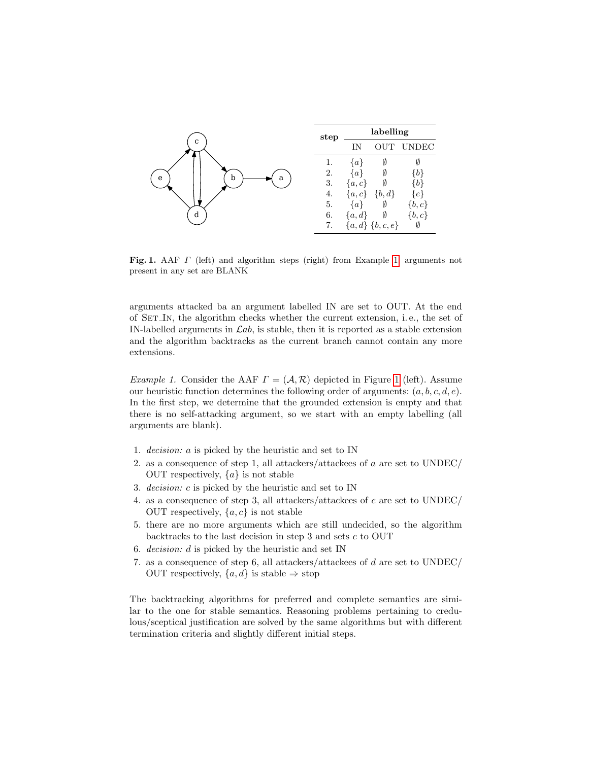| C<br>a<br>b<br>e | step | labelling |                       |                |
|------------------|------|-----------|-----------------------|----------------|
|                  |      | IN        | <b>OUT</b>            | <b>UNDEC</b>   |
|                  |      | $\{a\}$   |                       |                |
|                  | 2.   | $\{a\}$   | V                     | [b]            |
|                  | 3.   | $\{a,c\}$ | Ø                     | [b]            |
|                  | 4.   | $\{a,c\}$ | $\{b, d\}$            | e <sup>1</sup> |
|                  | 5.   | $\{a\}$   | Ø                     | $\{b,c\}$      |
| d                | 6.   | ${a,d}$   | Ø                     | $\{b, c\}$     |
|                  | 7.   |           | $\{a,d\}$ $\{b,c,e\}$ | Ø              |

<span id="page-3-1"></span>Fig. 1. AAF  $\Gamma$  (left) and algorithm steps (right) from Example [1;](#page-3-0) arguments not present in any set are BLANK

arguments attacked ba an argument labelled IN are set to OUT. At the end of Set In, the algorithm checks whether the current extension, i. e., the set of IN-labelled arguments in  $\mathcal{L}ab$ , is stable, then it is reported as a stable extension and the algorithm backtracks as the current branch cannot contain any more extensions.

<span id="page-3-0"></span>*Example [1](#page-3-1).* Consider the AAF  $\Gamma = (\mathcal{A}, \mathcal{R})$  depicted in Figure 1 (left). Assume our heuristic function determines the following order of arguments:  $(a, b, c, d, e)$ . In the first step, we determine that the grounded extension is empty and that there is no self-attacking argument, so we start with an empty labelling (all arguments are blank).

- 1. decision: a is picked by the heuristic and set to IN
- 2. as a consequence of step 1, all attackers/attackees of a are set to UNDEC/ OUT respectively,  ${a}$  is not stable
- 3. decision: c is picked by the heuristic and set to IN
- 4. as a consequence of step 3, all attackers/attackees of c are set to UNDEC/ OUT respectively,  $\{a, c\}$  is not stable
- 5. there are no more arguments which are still undecided, so the algorithm backtracks to the last decision in step 3 and sets  $c$  to OUT
- 6. *decision:*  $d$  is picked by the heuristic and set IN
- 7. as a consequence of step 6, all attackers/attackees of d are set to UNDEC/ OUT respectively,  $\{a, d\}$  is stable  $\Rightarrow$  stop

The backtracking algorithms for preferred and complete semantics are similar to the one for stable semantics. Reasoning problems pertaining to credulous/sceptical justification are solved by the same algorithms but with different termination criteria and slightly different initial steps.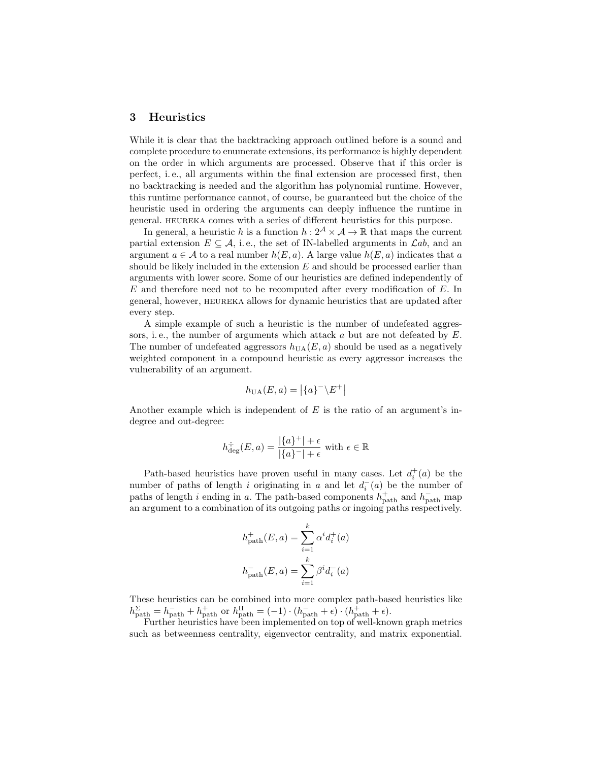## 3 Heuristics

While it is clear that the backtracking approach outlined before is a sound and complete procedure to enumerate extensions, its performance is highly dependent on the order in which arguments are processed. Observe that if this order is perfect, i. e., all arguments within the final extension are processed first, then no backtracking is needed and the algorithm has polynomial runtime. However, this runtime performance cannot, of course, be guaranteed but the choice of the heuristic used in ordering the arguments can deeply influence the runtime in general. HEUREKA comes with a series of different heuristics for this purpose.

In general, a heuristic h is a function  $h: 2^{\mathcal{A}} \times \mathcal{A} \to \mathbb{R}$  that maps the current partial extension  $E \subseteq \mathcal{A}$ , i.e., the set of IN-labelled arguments in  $\mathcal{L}ab$ , and an argument  $a \in \mathcal{A}$  to a real number  $h(E, a)$ . A large value  $h(E, a)$  indicates that a should be likely included in the extension  $E$  and should be processed earlier than arguments with lower score. Some of our heuristics are defined independently of E and therefore need not to be recomputed after every modification of E. In general, however, HEUREKA allows for dynamic heuristics that are updated after every step.

A simple example of such a heuristic is the number of undefeated aggressors, i.e., the number of arguments which attack  $a$  but are not defeated by  $E$ . The number of undefeated aggressors  $h_{\text{UA}}(E, a)$  should be used as a negatively weighted component in a compound heuristic as every aggressor increases the vulnerability of an argument.

$$
h_{\text{UA}}(E, a) = |\{a\}^- \backslash E^+|
$$

Another example which is independent of  $E$  is the ratio of an argument's indegree and out-degree:

$$
h_{\text{deg}}^{\div}(E, a) = \frac{|\{a\}^{+}| + \epsilon}{|\{a\}^{-}| + \epsilon} \text{ with } \epsilon \in \mathbb{R}
$$

Path-based heuristics have proven useful in many cases. Let  $d_i^+(a)$  be the number of paths of length i originating in a and let  $d_i^-(a)$  be the number of paths of length i ending in a. The path-based components  $h_{\text{path}}^+$  and  $h_{\text{path}}^-$  map an argument to a combination of its outgoing paths or ingoing paths respectively.

$$
h_{\text{path}}^+(E, a) = \sum_{i=1}^k \alpha^i d_i^+(a)
$$

$$
h_{\text{path}}^-(E, a) = \sum_{i=1}^k \beta^i d_i^-(a)
$$

These heuristics can be combined into more complex path-based heuristics like  $h_{\text{path}}^{\Sigma} = h_{\text{path}}^- + h_{\text{path}}^+$  or  $h_{\text{path}}^{\Pi} = (-1) \cdot (h_{\text{path}}^- + \epsilon) \cdot (h_{\text{path}}^+ + \epsilon)$ .

Further heuristics have been implemented on top of well-known graph metrics such as betweenness centrality, eigenvector centrality, and matrix exponential.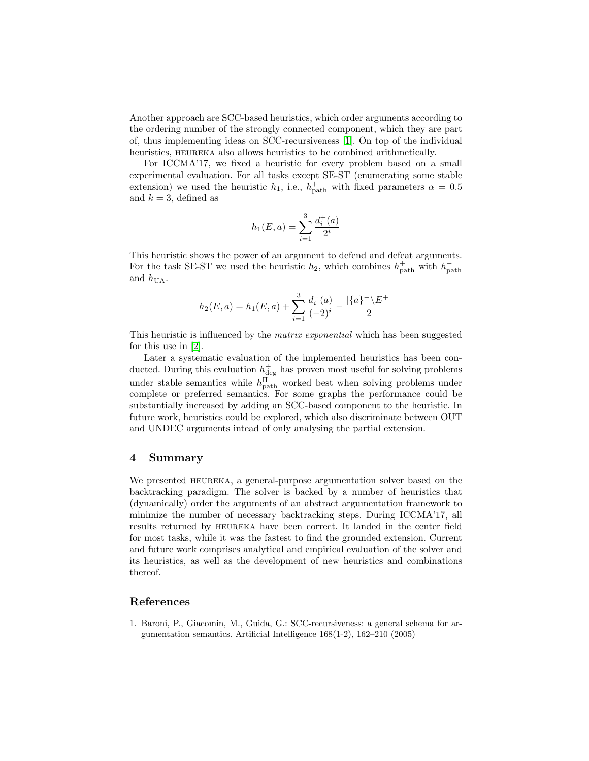Another approach are SCC-based heuristics, which order arguments according to the ordering number of the strongly connected component, which they are part of, thus implementing ideas on SCC-recursiveness [\[1\]](#page-5-0). On top of the individual heuristics, HEUREKA also allows heuristics to be combined arithmetically.

For ICCMA'17, we fixed a heuristic for every problem based on a small experimental evaluation. For all tasks except SE-ST (enumerating some stable extension) we used the heuristic  $h_1$ , i.e.,  $h_{\text{path}}^+$  with fixed parameters  $\alpha = 0.5$ and  $k = 3$ , defined as

$$
h_1(E, a) = \sum_{i=1}^{3} \frac{d_i^+(a)}{2^i}
$$

This heuristic shows the power of an argument to defend and defeat arguments. For the task SE-ST we used the heuristic  $h_2$ , which combines  $h_{\text{path}}^+$  with  $h_{\text{path}}^$ and  $h_{\text{UA}}$ .

$$
h_2(E, a) = h_1(E, a) + \sum_{i=1}^{3} \frac{d_i^-(a)}{(-2)^i} - \frac{|\{a\}^- \setminus E^+|}{2}
$$

This heuristic is influenced by the *matrix exponential* which has been suggested for this use in [\[2\]](#page-6-3).

Later a systematic evaluation of the implemented heuristics has been conducted. During this evaluation  $h_{\text{deg}}^{\div}$  has proven most useful for solving problems under stable semantics while  $h_{\text{path}}^{\text{II}}$  worked best when solving problems under complete or preferred semantics. For some graphs the performance could be substantially increased by adding an SCC-based component to the heuristic. In future work, heuristics could be explored, which also discriminate between OUT and UNDEC arguments intead of only analysing the partial extension.

### 4 Summary

We presented HEUREKA, a general-purpose argumentation solver based on the backtracking paradigm. The solver is backed by a number of heuristics that (dynamically) order the arguments of an abstract argumentation framework to minimize the number of necessary backtracking steps. During ICCMA'17, all results returned by heureka have been correct. It landed in the center field for most tasks, while it was the fastest to find the grounded extension. Current and future work comprises analytical and empirical evaluation of the solver and its heuristics, as well as the development of new heuristics and combinations thereof.

# References

<span id="page-5-0"></span>1. Baroni, P., Giacomin, M., Guida, G.: SCC-recursiveness: a general schema for argumentation semantics. Artificial Intelligence 168(1-2), 162–210 (2005)